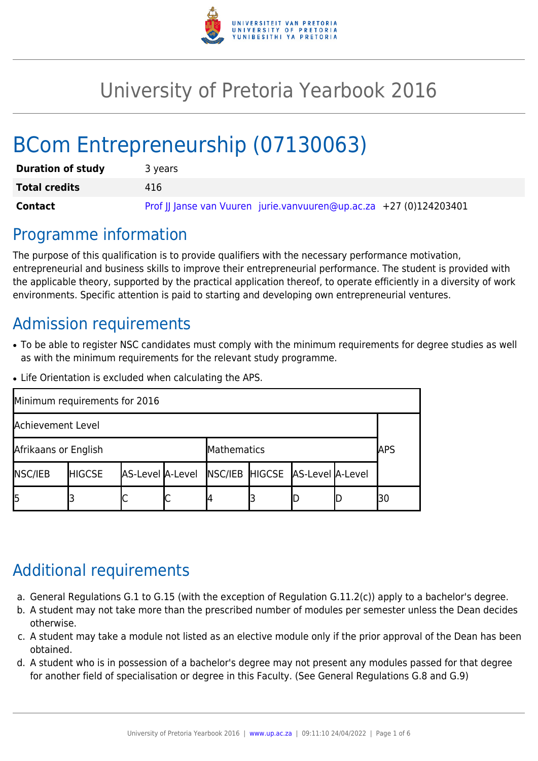

# University of Pretoria Yearbook 2016

# BCom Entrepreneurship (07130063)

| <b>Duration of study</b> | 3 years                                                            |  |  |  |  |  |
|--------------------------|--------------------------------------------------------------------|--|--|--|--|--|
| <b>Total credits</b>     | 416                                                                |  |  |  |  |  |
| Contact                  | Prof JJ Janse van Vuuren jurie.vanvuuren@up.ac.za +27 (0)124203401 |  |  |  |  |  |

### Programme information

The purpose of this qualification is to provide qualifiers with the necessary performance motivation, entrepreneurial and business skills to improve their entrepreneurial performance. The student is provided with the applicable theory, supported by the practical application thereof, to operate efficiently in a diversity of work environments. Specific attention is paid to starting and developing own entrepreneurial ventures.

### Admission requirements

- To be able to register NSC candidates must comply with the minimum requirements for degree studies as well as with the minimum requirements for the relevant study programme.
- Life Orientation is excluded when calculating the APS.

| Minimum requirements for 2016 |               |                  |   |                                 |  |  |  |            |  |  |
|-------------------------------|---------------|------------------|---|---------------------------------|--|--|--|------------|--|--|
| Achievement Level             |               |                  |   |                                 |  |  |  |            |  |  |
| Afrikaans or English          |               |                  |   | Mathematics                     |  |  |  | <b>APS</b> |  |  |
| <b>NSC/IEB</b>                | <b>HIGCSE</b> | AS-Level A-Level |   | NSC/IEB HIGCSE AS-Level A-Level |  |  |  |            |  |  |
| 15                            |               |                  | ٮ |                                 |  |  |  | 30         |  |  |

# Additional requirements

- a. General Regulations G.1 to G.15 (with the exception of Regulation G.11.2(c)) apply to a bachelor's degree.
- b. A student may not take more than the prescribed number of modules per semester unless the Dean decides otherwise.
- c. A student may take a module not listed as an elective module only if the prior approval of the Dean has been obtained.
- d. A student who is in possession of a bachelor's degree may not present any modules passed for that degree for another field of specialisation or degree in this Faculty. (See General Regulations G.8 and G.9)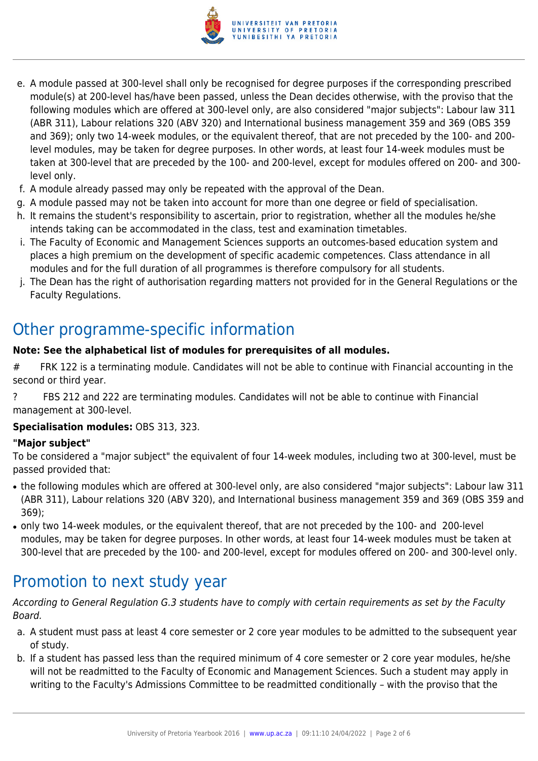

- e. A module passed at 300-level shall only be recognised for degree purposes if the corresponding prescribed module(s) at 200-level has/have been passed, unless the Dean decides otherwise, with the proviso that the following modules which are offered at 300-level only, are also considered "major subjects": Labour law 311 (ABR 311), Labour relations 320 (ABV 320) and International business management 359 and 369 (OBS 359 and 369); only two 14-week modules, or the equivalent thereof, that are not preceded by the 100- and 200 level modules, may be taken for degree purposes. In other words, at least four 14-week modules must be taken at 300-level that are preceded by the 100- and 200-level, except for modules offered on 200- and 300 level only.
- f. A module already passed may only be repeated with the approval of the Dean.
- g. A module passed may not be taken into account for more than one degree or field of specialisation.
- h. It remains the student's responsibility to ascertain, prior to registration, whether all the modules he/she intends taking can be accommodated in the class, test and examination timetables.
- i. The Faculty of Economic and Management Sciences supports an outcomes-based education system and places a high premium on the development of specific academic competences. Class attendance in all modules and for the full duration of all programmes is therefore compulsory for all students.
- j. The Dean has the right of authorisation regarding matters not provided for in the General Regulations or the Faculty Regulations.

# Other programme-specific information

#### **Note: See the alphabetical list of modules for prerequisites of all modules.**

- # FRK 122 is a terminating module. Candidates will not be able to continue with Financial accounting in the second or third year.
- ? FBS 212 and 222 are terminating modules. Candidates will not be able to continue with Financial management at 300-level.

#### **Specialisation modules:** OBS 313, 323.

#### **"Major subject"**

To be considered a "major subject" the equivalent of four 14-week modules, including two at 300-level, must be passed provided that:

- the following modules which are offered at 300-level only, are also considered "major subjects": Labour law 311 (ABR 311), Labour relations 320 (ABV 320), and International business management 359 and 369 (OBS 359 and 369);
- only two 14-week modules, or the equivalent thereof, that are not preceded by the 100- and 200-level modules, may be taken for degree purposes. In other words, at least four 14-week modules must be taken at 300-level that are preceded by the 100- and 200-level, except for modules offered on 200- and 300-level only.

# Promotion to next study year

According to General Regulation G.3 students have to comply with certain requirements as set by the Faculty Board.

- a. A student must pass at least 4 core semester or 2 core year modules to be admitted to the subsequent year of study.
- b. If a student has passed less than the required minimum of 4 core semester or 2 core year modules, he/she will not be readmitted to the Faculty of Economic and Management Sciences. Such a student may apply in writing to the Faculty's Admissions Committee to be readmitted conditionally – with the proviso that the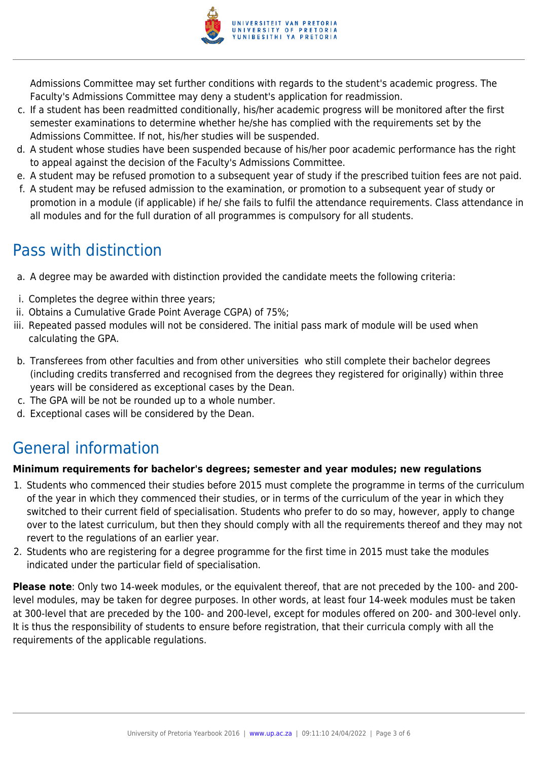

Admissions Committee may set further conditions with regards to the student's academic progress. The Faculty's Admissions Committee may deny a student's application for readmission.

- c. If a student has been readmitted conditionally, his/her academic progress will be monitored after the first semester examinations to determine whether he/she has complied with the requirements set by the Admissions Committee. If not, his/her studies will be suspended.
- d. A student whose studies have been suspended because of his/her poor academic performance has the right to appeal against the decision of the Faculty's Admissions Committee.
- e. A student may be refused promotion to a subsequent year of study if the prescribed tuition fees are not paid.
- f. A student may be refused admission to the examination, or promotion to a subsequent year of study or promotion in a module (if applicable) if he/ she fails to fulfil the attendance requirements. Class attendance in all modules and for the full duration of all programmes is compulsory for all students.

### Pass with distinction

- a. A degree may be awarded with distinction provided the candidate meets the following criteria:
- i. Completes the degree within three years;
- ii. Obtains a Cumulative Grade Point Average CGPA) of 75%;
- iii. Repeated passed modules will not be considered. The initial pass mark of module will be used when calculating the GPA.
- b. Transferees from other faculties and from other universities who still complete their bachelor degrees (including credits transferred and recognised from the degrees they registered for originally) within three years will be considered as exceptional cases by the Dean.
- c. The GPA will be not be rounded up to a whole number.
- d. Exceptional cases will be considered by the Dean.

# General information

#### **Minimum requirements for bachelor's degrees; semester and year modules; new regulations**

- 1. Students who commenced their studies before 2015 must complete the programme in terms of the curriculum of the year in which they commenced their studies, or in terms of the curriculum of the year in which they switched to their current field of specialisation. Students who prefer to do so may, however, apply to change over to the latest curriculum, but then they should comply with all the requirements thereof and they may not revert to the regulations of an earlier year.
- 2. Students who are registering for a degree programme for the first time in 2015 must take the modules indicated under the particular field of specialisation.

**Please note**: Only two 14-week modules, or the equivalent thereof, that are not preceded by the 100- and 200 level modules, may be taken for degree purposes. In other words, at least four 14-week modules must be taken at 300-level that are preceded by the 100- and 200-level, except for modules offered on 200- and 300-level only. It is thus the responsibility of students to ensure before registration, that their curricula comply with all the requirements of the applicable regulations.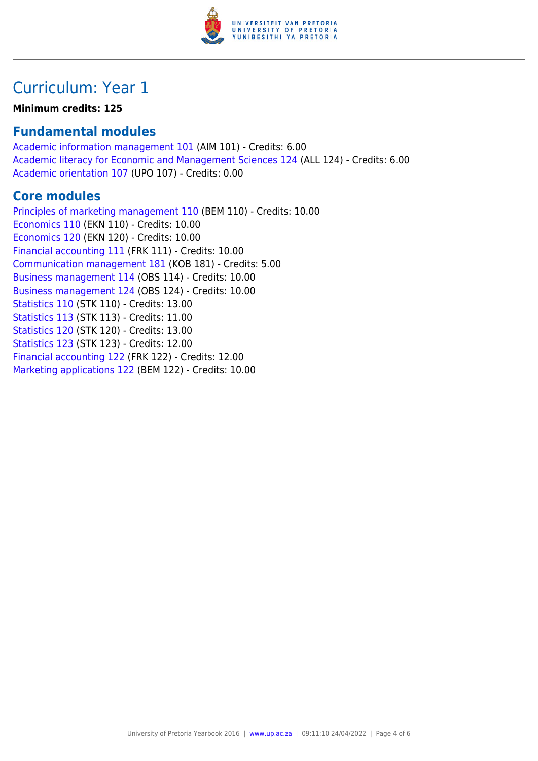

# Curriculum: Year 1

#### **Minimum credits: 125**

### **Fundamental modules**

[Academic information management 101](https://www.up.ac.za/yearbooks/2016/modules/view/AIM 101) (AIM 101) - Credits: 6.00 [Academic literacy for Economic and Management Sciences 124](https://www.up.ac.za/yearbooks/2016/modules/view/ALL 124) (ALL 124) - Credits: 6.00 [Academic orientation 107](https://www.up.ac.za/yearbooks/2016/modules/view/UPO 107) (UPO 107) - Credits: 0.00

### **Core modules**

[Principles of marketing management 110](https://www.up.ac.za/yearbooks/2016/modules/view/BEM 110) (BEM 110) - Credits: 10.00 [Economics 110](https://www.up.ac.za/yearbooks/2016/modules/view/EKN 110) (EKN 110) - Credits: 10.00 [Economics 120](https://www.up.ac.za/yearbooks/2016/modules/view/EKN 120) (EKN 120) - Credits: 10.00 [Financial accounting 111](https://www.up.ac.za/yearbooks/2016/modules/view/FRK 111) (FRK 111) - Credits: 10.00 [Communication management 181](https://www.up.ac.za/yearbooks/2016/modules/view/KOB 181) (KOB 181) - Credits: 5.00 [Business management 114](https://www.up.ac.za/yearbooks/2016/modules/view/OBS 114) (OBS 114) - Credits: 10.00 [Business management 124](https://www.up.ac.za/yearbooks/2016/modules/view/OBS 124) (OBS 124) - Credits: 10.00 [Statistics 110](https://www.up.ac.za/yearbooks/2016/modules/view/STK 110) (STK 110) - Credits: 13.00 [Statistics 113](https://www.up.ac.za/yearbooks/2016/modules/view/STK 113) (STK 113) - Credits: 11.00 [Statistics 120](https://www.up.ac.za/yearbooks/2016/modules/view/STK 120) (STK 120) - Credits: 13.00 [Statistics 123](https://www.up.ac.za/yearbooks/2016/modules/view/STK 123) (STK 123) - Credits: 12.00 [Financial accounting 122](https://www.up.ac.za/yearbooks/2016/modules/view/FRK 122) (FRK 122) - Credits: 12.00 [Marketing applications 122](https://www.up.ac.za/yearbooks/2016/modules/view/BEM 122) (BEM 122) - Credits: 10.00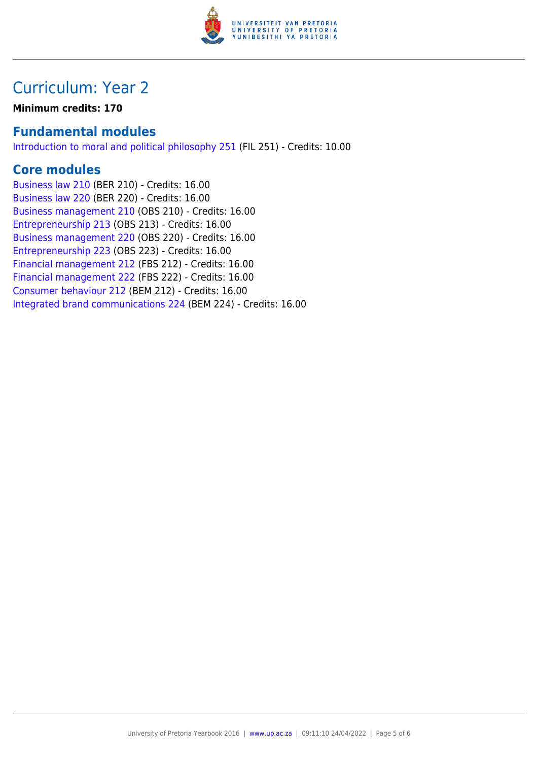

# Curriculum: Year 2

**Minimum credits: 170**

### **Fundamental modules**

[Introduction to moral and political philosophy 251](https://www.up.ac.za/yearbooks/2016/modules/view/FIL 251) (FIL 251) - Credits: 10.00

### **Core modules**

[Business law 210](https://www.up.ac.za/yearbooks/2016/modules/view/BER 210) (BER 210) - Credits: 16.00 [Business law 220](https://www.up.ac.za/yearbooks/2016/modules/view/BER 220) (BER 220) - Credits: 16.00 [Business management 210](https://www.up.ac.za/yearbooks/2016/modules/view/OBS 210) (OBS 210) - Credits: 16.00 [Entrepreneurship 213](https://www.up.ac.za/yearbooks/2016/modules/view/OBS 213) (OBS 213) - Credits: 16.00 [Business management 220](https://www.up.ac.za/yearbooks/2016/modules/view/OBS 220) (OBS 220) - Credits: 16.00 [Entrepreneurship 223](https://www.up.ac.za/yearbooks/2016/modules/view/OBS 223) (OBS 223) - Credits: 16.00 [Financial management 212](https://www.up.ac.za/yearbooks/2016/modules/view/FBS 212) (FBS 212) - Credits: 16.00 [Financial management 222](https://www.up.ac.za/yearbooks/2016/modules/view/FBS 222) (FBS 222) - Credits: 16.00 [Consumer behaviour 212](https://www.up.ac.za/yearbooks/2016/modules/view/BEM 212) (BEM 212) - Credits: 16.00 [Integrated brand communications 224](https://www.up.ac.za/yearbooks/2016/modules/view/BEM 224) (BEM 224) - Credits: 16.00